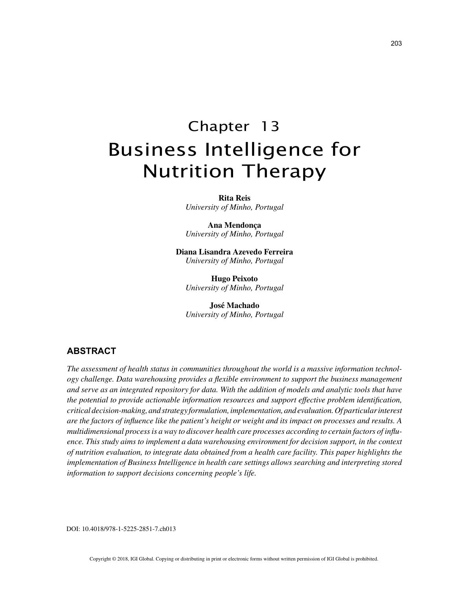# Chapter 13 Business Intelligence for Nutrition Therapy

**Rita Reis** *University of Minho, Portugal*

**Ana Mendonça** *University of Minho, Portugal*

**Diana Lisandra Azevedo Ferreira** *University of Minho, Portugal*

**Hugo Peixoto** *University of Minho, Portugal*

**José Machado** *University of Minho, Portugal*

## **ABSTRACT**

*The assessment of health status in communities throughout the world is a massive information technology challenge. Data warehousing provides a flexible environment to support the business management and serve as an integrated repository for data. With the addition of models and analytic tools that have the potential to provide actionable information resources and support effective problem identification, critical decision-making, and strategy formulation, implementation, and evaluation. Of particular interest are the factors of influence like the patient's height or weight and its impact on processes and results. A multidimensional process is a way to discover health care processes according to certain factors of influence. This study aims to implement a data warehousing environment for decision support, in the context of nutrition evaluation, to integrate data obtained from a health care facility. This paper highlights the implementation of Business Intelligence in health care settings allows searching and interpreting stored information to support decisions concerning people's life.*

DOI: 10.4018/978-1-5225-2851-7.ch013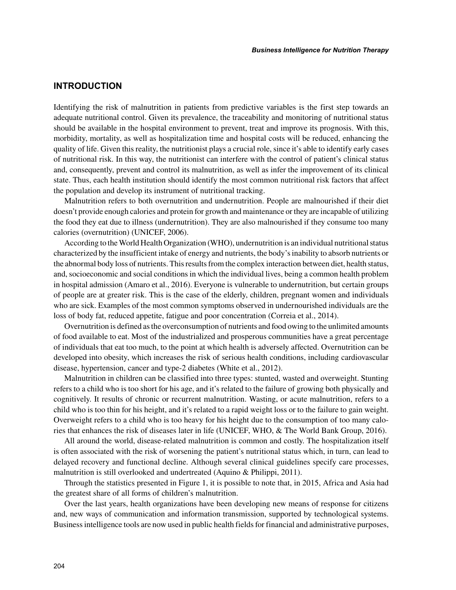## **INTRODUCTION**

Identifying the risk of malnutrition in patients from predictive variables is the first step towards an adequate nutritional control. Given its prevalence, the traceability and monitoring of nutritional status should be available in the hospital environment to prevent, treat and improve its prognosis. With this, morbidity, mortality, as well as hospitalization time and hospital costs will be reduced, enhancing the quality of life. Given this reality, the nutritionist plays a crucial role, since it's able to identify early cases of nutritional risk. In this way, the nutritionist can interfere with the control of patient's clinical status and, consequently, prevent and control its malnutrition, as well as infer the improvement of its clinical state. Thus, each health institution should identify the most common nutritional risk factors that affect the population and develop its instrument of nutritional tracking.

Malnutrition refers to both overnutrition and undernutrition. People are malnourished if their diet doesn't provide enough calories and protein for growth and maintenance or they are incapable of utilizing the food they eat due to illness (undernutrition). They are also malnourished if they consume too many calories (overnutrition) (UNICEF, 2006).

According to the World Health Organization (WHO), undernutrition is an individual nutritional status characterized by the insufficient intake of energy and nutrients, the body's inability to absorb nutrients or the abnormal body loss of nutrients. This results from the complex interaction between diet, health status, and, socioeconomic and social conditions in which the individual lives, being a common health problem in hospital admission (Amaro et al., 2016). Everyone is vulnerable to undernutrition, but certain groups of people are at greater risk. This is the case of the elderly, children, pregnant women and individuals who are sick. Examples of the most common symptoms observed in undernourished individuals are the loss of body fat, reduced appetite, fatigue and poor concentration (Correia et al., 2014).

Overnutrition is defined as the overconsumption of nutrients and food owing to the unlimited amounts of food available to eat. Most of the industrialized and prosperous communities have a great percentage of individuals that eat too much, to the point at which health is adversely affected. Overnutrition can be developed into obesity, which increases the risk of serious health conditions, including cardiovascular disease, hypertension, cancer and type-2 diabetes (White et al., 2012).

Malnutrition in children can be classified into three types: stunted, wasted and overweight. Stunting refers to a child who is too short for his age, and it's related to the failure of growing both physically and cognitively. It results of chronic or recurrent malnutrition. Wasting, or acute malnutrition, refers to a child who is too thin for his height, and it's related to a rapid weight loss or to the failure to gain weight. Overweight refers to a child who is too heavy for his height due to the consumption of too many calories that enhances the risk of diseases later in life (UNICEF, WHO, & The World Bank Group, 2016).

All around the world, disease-related malnutrition is common and costly. The hospitalization itself is often associated with the risk of worsening the patient's nutritional status which, in turn, can lead to delayed recovery and functional decline. Although several clinical guidelines specify care processes, malnutrition is still overlooked and undertreated (Aquino & Philippi, 2011).

Through the statistics presented in Figure 1, it is possible to note that, in 2015, Africa and Asia had the greatest share of all forms of children's malnutrition.

Over the last years, health organizations have been developing new means of response for citizens and, new ways of communication and information transmission, supported by technological systems. Business intelligence tools are now used in public health fields for financial and administrative purposes,